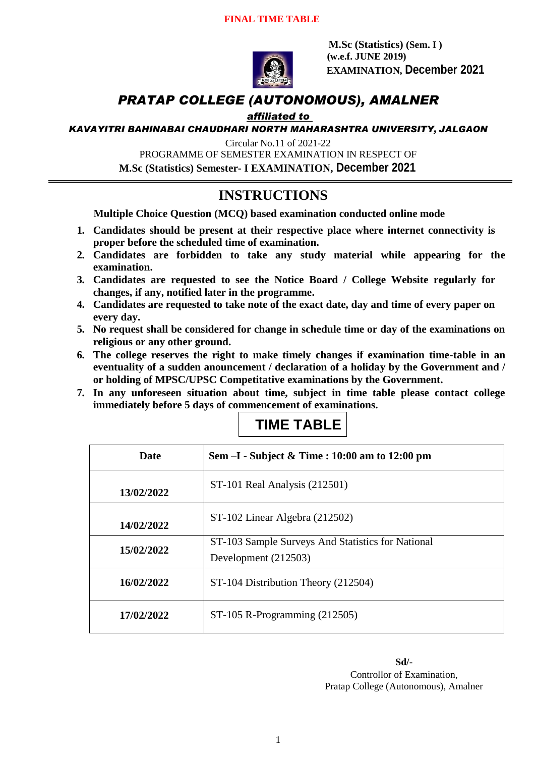

 **M.Sc (Statistics) (Sem. I ) (w.e.f. JUNE 2019) EXAMINATION, December 2021**

## *PRATAP COLLEGE (AUTONOMOUS), AMALNER*

### *affiliated to*

*KAVAYITRI BAHINABAI CHAUDHARI NORTH MAHARASHTRA UNIVERSITY, JALGAON*

Circular No.11 of 2021-22

PROGRAMME OF SEMESTER EXAMINATION IN RESPECT OF

**M.Sc (Statistics) Semester- I EXAMINATION, December 2021**

## **INSTRUCTIONS**

**Multiple Choice Question (MCQ) based examination conducted online mode**

- **1. Candidates should be present at their respective place where internet connectivity is proper before the scheduled time of examination.**
- **2. Candidates are forbidden to take any study material while appearing for the examination.**
- **3. Candidates are requested to see the Notice Board / College Website regularly for changes, if any, notified later in the programme.**
- **4. Candidates are requested to take note of the exact date, day and time of every paper on every day.**
- **5. No request shall be considered for change in schedule time or day of the examinations on religious or any other ground.**
- **6. The college reserves the right to make timely changes if examination time-table in an eventuality of a sudden anouncement / declaration of a holiday by the Government and / or holding of MPSC/UPSC Competitative examinations by the Government.**
- **7. In any unforeseen situation about time, subject in time table please contact college immediately before 5 days of commencement of examinations.**

## **TIME TABLE**

| Date       | Sem -I - Subject & Time : 10:00 am to 12:00 pm                            |
|------------|---------------------------------------------------------------------------|
| 13/02/2022 | ST-101 Real Analysis (212501)                                             |
| 14/02/2022 | ST-102 Linear Algebra (212502)                                            |
| 15/02/2022 | ST-103 Sample Surveys And Statistics for National<br>Development (212503) |
| 16/02/2022 | ST-104 Distribution Theory (212504)                                       |
| 17/02/2022 | $ST-105$ R-Programming (212505)                                           |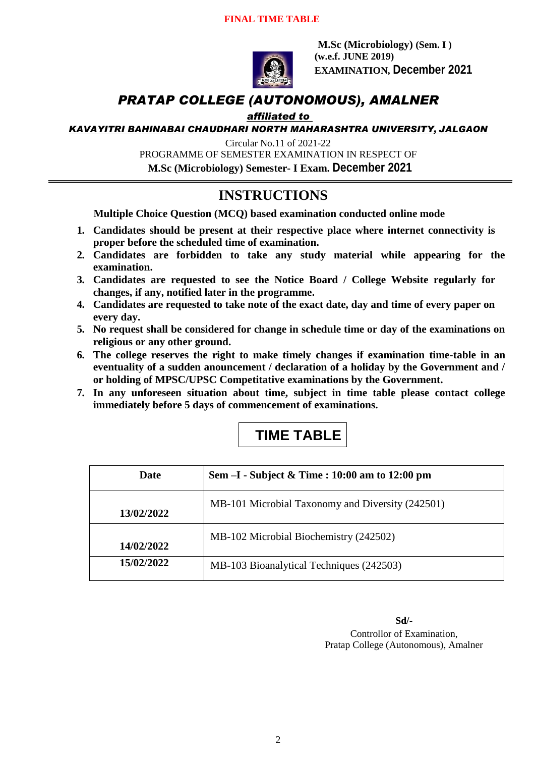

 **M.Sc (Microbiology) (Sem. I ) (w.e.f. JUNE 2019) EXAMINATION, December 2021**

## *PRATAP COLLEGE (AUTONOMOUS), AMALNER*

### *affiliated to*

*KAVAYITRI BAHINABAI CHAUDHARI NORTH MAHARASHTRA UNIVERSITY, JALGAON*

Circular No.11 of 2021-22

PROGRAMME OF SEMESTER EXAMINATION IN RESPECT OF

**M.Sc (Microbiology) Semester- I Exam. December 2021**

## **INSTRUCTIONS**

**Multiple Choice Question (MCQ) based examination conducted online mode**

- **1. Candidates should be present at their respective place where internet connectivity is proper before the scheduled time of examination.**
- **2. Candidates are forbidden to take any study material while appearing for the examination.**
- **3. Candidates are requested to see the Notice Board / College Website regularly for changes, if any, notified later in the programme.**
- **4. Candidates are requested to take note of the exact date, day and time of every paper on every day.**
- **5. No request shall be considered for change in schedule time or day of the examinations on religious or any other ground.**
- **6. The college reserves the right to make timely changes if examination time-table in an eventuality of a sudden anouncement / declaration of a holiday by the Government and / or holding of MPSC/UPSC Competitative examinations by the Government.**
- **7. In any unforeseen situation about time, subject in time table please contact college immediately before 5 days of commencement of examinations.**

## **TIME TABLE**

| Date       | Sem -I - Subject & Time : 10:00 am to 12:00 pm   |
|------------|--------------------------------------------------|
| 13/02/2022 | MB-101 Microbial Taxonomy and Diversity (242501) |
| 14/02/2022 | MB-102 Microbial Biochemistry (242502)           |
| 15/02/2022 | MB-103 Bioanalytical Techniques (242503)         |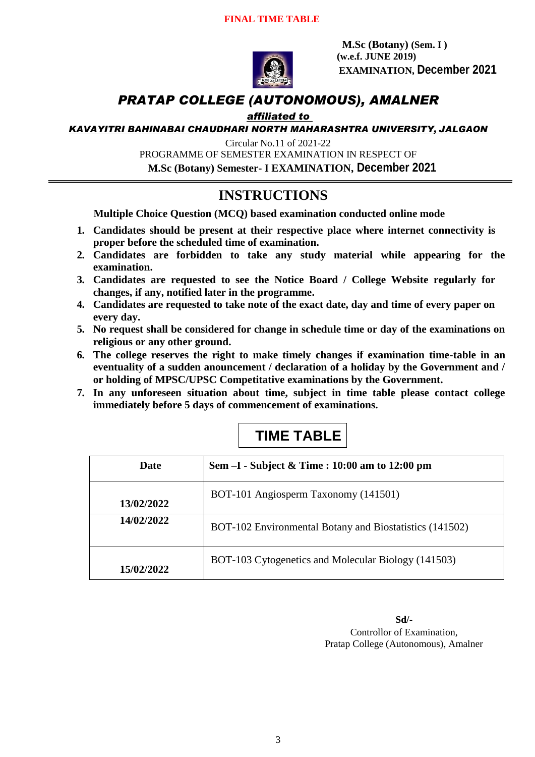

**M.Sc (Botany) (Sem. I ) (w.e.f. JUNE 2019) EXAMINATION, December 2021**

## *PRATAP COLLEGE (AUTONOMOUS), AMALNER*

### *affiliated to*

*KAVAYITRI BAHINABAI CHAUDHARI NORTH MAHARASHTRA UNIVERSITY, JALGAON*

Circular No.11 of 2021-22

PROGRAMME OF SEMESTER EXAMINATION IN RESPECT OF

**M.Sc (Botany) Semester- I EXAMINATION, December 2021**

## **INSTRUCTIONS**

**Multiple Choice Question (MCQ) based examination conducted online mode**

- **1. Candidates should be present at their respective place where internet connectivity is proper before the scheduled time of examination.**
- **2. Candidates are forbidden to take any study material while appearing for the examination.**
- **3. Candidates are requested to see the Notice Board / College Website regularly for changes, if any, notified later in the programme.**
- **4. Candidates are requested to take note of the exact date, day and time of every paper on every day.**
- **5. No request shall be considered for change in schedule time or day of the examinations on religious or any other ground.**
- **6. The college reserves the right to make timely changes if examination time-table in an eventuality of a sudden anouncement / declaration of a holiday by the Government and / or holding of MPSC/UPSC Competitative examinations by the Government.**
- **7. In any unforeseen situation about time, subject in time table please contact college immediately before 5 days of commencement of examinations.**

## **TIME TABLE**

| Date       | Sem $-I$ - Subject & Time : 10:00 am to 12:00 pm        |
|------------|---------------------------------------------------------|
| 13/02/2022 | BOT-101 Angiosperm Taxonomy (141501)                    |
| 14/02/2022 | BOT-102 Environmental Botany and Biostatistics (141502) |
| 15/02/2022 | BOT-103 Cytogenetics and Molecular Biology (141503)     |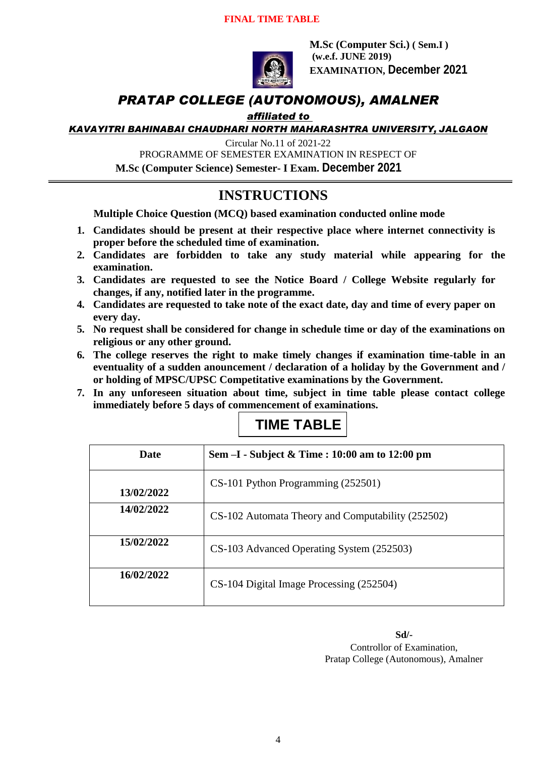#### **FINAL TIME TABLE**



**M.Sc (Computer Sci.) ( Sem.I ) (w.e.f. JUNE 2019) EXAMINATION, December 2021**

### *PRATAP COLLEGE (AUTONOMOUS), AMALNER*

#### *affiliated to*

*KAVAYITRI BAHINABAI CHAUDHARI NORTH MAHARASHTRA UNIVERSITY, JALGAON*

Circular No.11 of 2021-22

PROGRAMME OF SEMESTER EXAMINATION IN RESPECT OF

**M.Sc (Computer Science) Semester- I Exam. December 2021**

### **INSTRUCTIONS**

**Multiple Choice Question (MCQ) based examination conducted online mode**

- **1. Candidates should be present at their respective place where internet connectivity is proper before the scheduled time of examination.**
- **2. Candidates are forbidden to take any study material while appearing for the examination.**
- **3. Candidates are requested to see the Notice Board / College Website regularly for changes, if any, notified later in the programme.**
- **4. Candidates are requested to take note of the exact date, day and time of every paper on every day.**
- **5. No request shall be considered for change in schedule time or day of the examinations on religious or any other ground.**
- **6. The college reserves the right to make timely changes if examination time-table in an eventuality of a sudden anouncement / declaration of a holiday by the Government and / or holding of MPSC/UPSC Competitative examinations by the Government.**
- **7. In any unforeseen situation about time, subject in time table please contact college immediately before 5 days of commencement of examinations.**



| <b>Date</b> | Sem $-I$ - Subject & Time : 10:00 am to 12:00 pm  |
|-------------|---------------------------------------------------|
| 13/02/2022  | CS-101 Python Programming (252501)                |
| 14/02/2022  | CS-102 Automata Theory and Computability (252502) |
| 15/02/2022  | CS-103 Advanced Operating System (252503)         |
| 16/02/2022  | CS-104 Digital Image Processing (252504)          |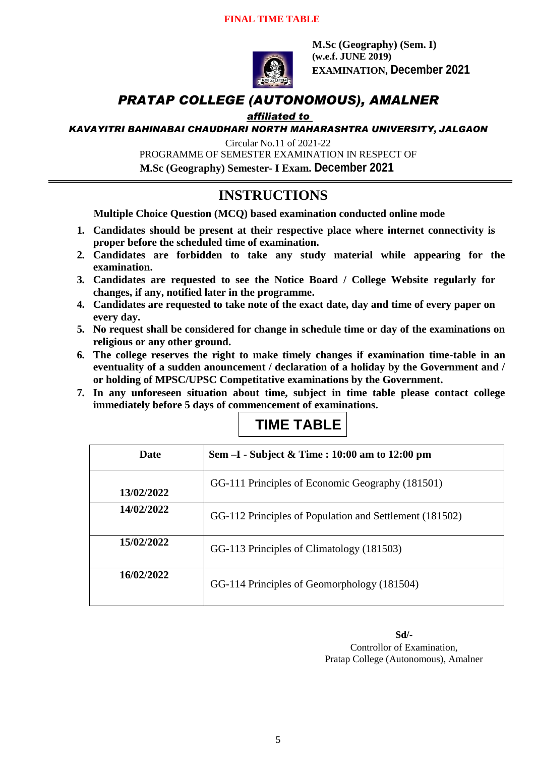

**M.Sc (Geography) (Sem. I) (w.e.f. JUNE 2019) EXAMINATION, December 2021**

### *PRATAP COLLEGE (AUTONOMOUS), AMALNER*

### *affiliated to*

*KAVAYITRI BAHINABAI CHAUDHARI NORTH MAHARASHTRA UNIVERSITY, JALGAON*

Circular No.11 of 2021-22

PROGRAMME OF SEMESTER EXAMINATION IN RESPECT OF

 **M.Sc (Geography) Semester- I Exam. December 2021**

### **INSTRUCTIONS**

**Multiple Choice Question (MCQ) based examination conducted online mode**

- **1. Candidates should be present at their respective place where internet connectivity is proper before the scheduled time of examination.**
- **2. Candidates are forbidden to take any study material while appearing for the examination.**
- **3. Candidates are requested to see the Notice Board / College Website regularly for changes, if any, notified later in the programme.**
- **4. Candidates are requested to take note of the exact date, day and time of every paper on every day.**
- **5. No request shall be considered for change in schedule time or day of the examinations on religious or any other ground.**
- **6. The college reserves the right to make timely changes if examination time-table in an eventuality of a sudden anouncement / declaration of a holiday by the Government and / or holding of MPSC/UPSC Competitative examinations by the Government.**
- **7. In any unforeseen situation about time, subject in time table please contact college immediately before 5 days of commencement of examinations.**

# **TIME TABLE**

| <b>Date</b> | Sem -I - Subject & Time : 10:00 am to 12:00 pm          |
|-------------|---------------------------------------------------------|
| 13/02/2022  | GG-111 Principles of Economic Geography (181501)        |
| 14/02/2022  | GG-112 Principles of Population and Settlement (181502) |
| 15/02/2022  | GG-113 Principles of Climatology (181503)               |
| 16/02/2022  | GG-114 Principles of Geomorphology (181504)             |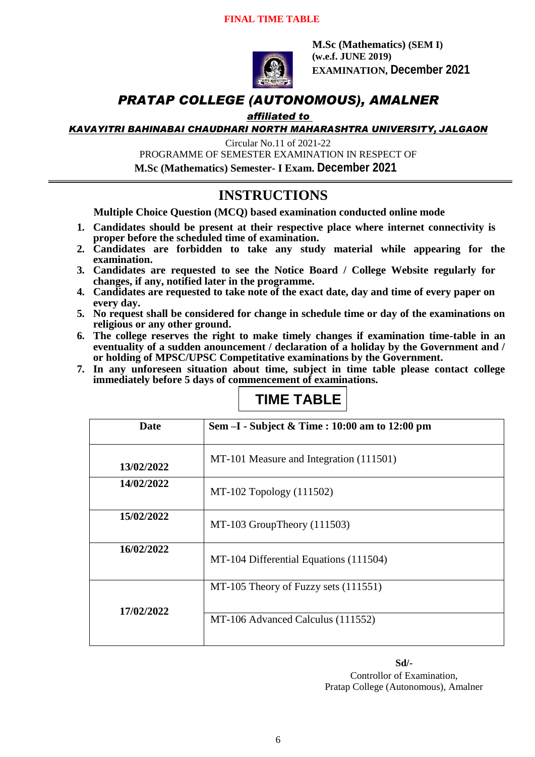

**M.Sc (Mathematics) (SEM I) (w.e.f. JUNE 2019) EXAMINATION, December 2021**

### *PRATAP COLLEGE (AUTONOMOUS), AMALNER*

### *affiliated to*

*KAVAYITRI BAHINABAI CHAUDHARI NORTH MAHARASHTRA UNIVERSITY, JALGAON*

Circular No.11 of 2021-22

PROGRAMME OF SEMESTER EXAMINATION IN RESPECT OF

 **M.Sc (Mathematics) Semester- I Exam. December 2021**

### **INSTRUCTIONS**

**Multiple Choice Question (MCQ) based examination conducted online mode**

- **1. Candidates should be present at their respective place where internet connectivity is proper before the scheduled time of examination.**
- **2. Candidates are forbidden to take any study material while appearing for the examination.**
- **3. Candidates are requested to see the Notice Board / College Website regularly for changes, if any, notified later in the programme.**
- **4. Candidates are requested to take note of the exact date, day and time of every paper on every day.**
- **5. No request shall be considered for change in schedule time or day of the examinations on religious or any other ground.**
- **6. The college reserves the right to make timely changes if examination time-table in an eventuality of a sudden anouncement / declaration of a holiday by the Government and / or holding of MPSC/UPSC Competitative examinations by the Government.**
- **7. In any unforeseen situation about time, subject in time table please contact college immediately before 5 days of commencement of examinations.**

## **TIME TABLE**

| <b>Date</b> | Sem -I - Subject & Time : 10:00 am to 12:00 pm |
|-------------|------------------------------------------------|
| 13/02/2022  | MT-101 Measure and Integration (111501)        |
| 14/02/2022  | MT-102 Topology (111502)                       |
| 15/02/2022  | $MT-103$ GroupTheory (111503)                  |
| 16/02/2022  | MT-104 Differential Equations (111504)         |
| 17/02/2022  | MT-105 Theory of Fuzzy sets (111551)           |
|             | MT-106 Advanced Calculus (111552)              |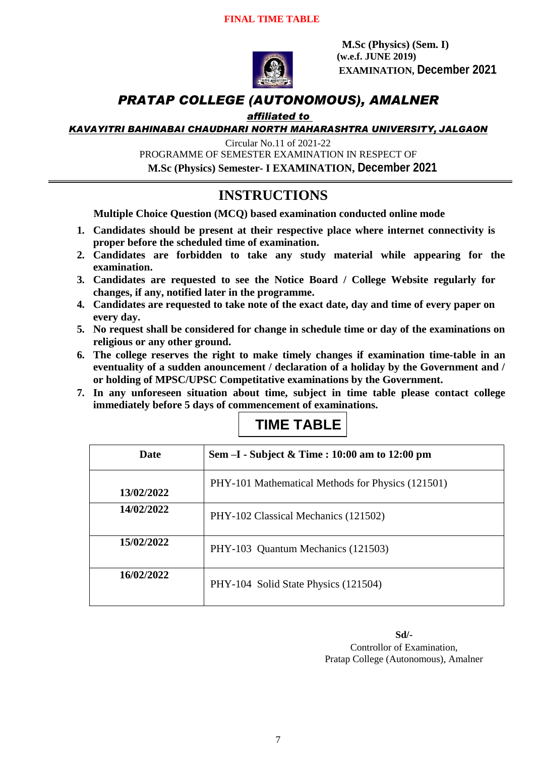

**M.Sc (Physics) (Sem. I) (w.e.f. JUNE 2019) EXAMINATION, December 2021**

## *PRATAP COLLEGE (AUTONOMOUS), AMALNER*

### *affiliated to*

*KAVAYITRI BAHINABAI CHAUDHARI NORTH MAHARASHTRA UNIVERSITY, JALGAON*

Circular No.11 of 2021-22

PROGRAMME OF SEMESTER EXAMINATION IN RESPECT OF

**M.Sc (Physics) Semester- I EXAMINATION, December 2021**

## **INSTRUCTIONS**

**Multiple Choice Question (MCQ) based examination conducted online mode**

- **1. Candidates should be present at their respective place where internet connectivity is proper before the scheduled time of examination.**
- **2. Candidates are forbidden to take any study material while appearing for the examination.**
- **3. Candidates are requested to see the Notice Board / College Website regularly for changes, if any, notified later in the programme.**
- **4. Candidates are requested to take note of the exact date, day and time of every paper on every day.**
- **5. No request shall be considered for change in schedule time or day of the examinations on religious or any other ground.**
- **6. The college reserves the right to make timely changes if examination time-table in an eventuality of a sudden anouncement / declaration of a holiday by the Government and / or holding of MPSC/UPSC Competitative examinations by the Government.**
- **7. In any unforeseen situation about time, subject in time table please contact college immediately before 5 days of commencement of examinations.**



| <b>Date</b> | Sem $-I$ - Subject & Time : 10:00 am to 12:00 pm  |
|-------------|---------------------------------------------------|
| 13/02/2022  | PHY-101 Mathematical Methods for Physics (121501) |
| 14/02/2022  | PHY-102 Classical Mechanics (121502)              |
| 15/02/2022  | PHY-103 Quantum Mechanics (121503)                |
| 16/02/2022  | PHY-104 Solid State Physics (121504)              |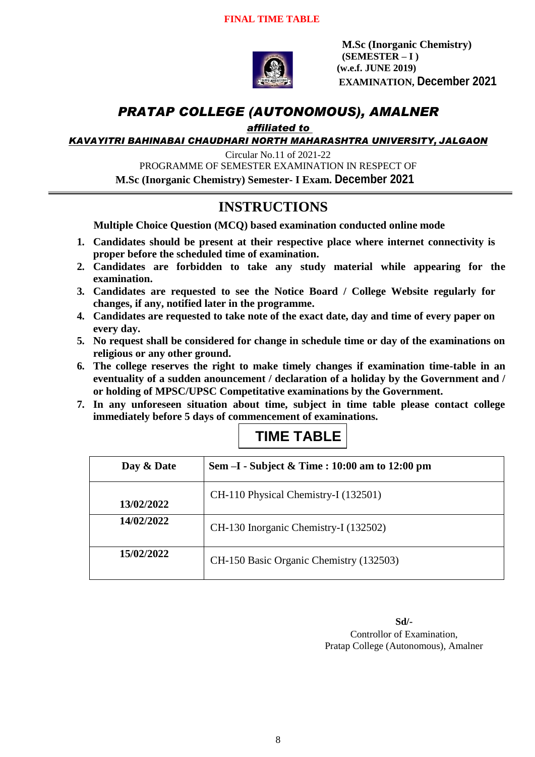

**M.Sc (Inorganic Chemistry) (SEMESTER – I ) (w.e.f. JUNE 2019) EXAMINATION, December 2021**

### *PRATAP COLLEGE (AUTONOMOUS), AMALNER*

*affiliated to* 

*KAVAYITRI BAHINABAI CHAUDHARI NORTH MAHARASHTRA UNIVERSITY, JALGAON*

Circular No.11 of 2021-22

PROGRAMME OF SEMESTER EXAMINATION IN RESPECT OF

**M.Sc (Inorganic Chemistry) Semester- I Exam. December 2021**

## **INSTRUCTIONS**

**Multiple Choice Question (MCQ) based examination conducted online mode**

- **1. Candidates should be present at their respective place where internet connectivity is proper before the scheduled time of examination.**
- **2. Candidates are forbidden to take any study material while appearing for the examination.**
- **3. Candidates are requested to see the Notice Board / College Website regularly for changes, if any, notified later in the programme.**
- **4. Candidates are requested to take note of the exact date, day and time of every paper on every day.**
- **5. No request shall be considered for change in schedule time or day of the examinations on religious or any other ground.**
- **6. The college reserves the right to make timely changes if examination time-table in an eventuality of a sudden anouncement / declaration of a holiday by the Government and / or holding of MPSC/UPSC Competitative examinations by the Government.**
- **7. In any unforeseen situation about time, subject in time table please contact college immediately before 5 days of commencement of examinations.**

| Day & Date | Sem $-I$ - Subject & Time : 10:00 am to 12:00 pm |
|------------|--------------------------------------------------|
| 13/02/2022 | CH-110 Physical Chemistry-I (132501)             |
| 14/02/2022 | CH-130 Inorganic Chemistry-I (132502)            |
| 15/02/2022 | CH-150 Basic Organic Chemistry (132503)          |

### **TIME TABLE**

**Sd/-**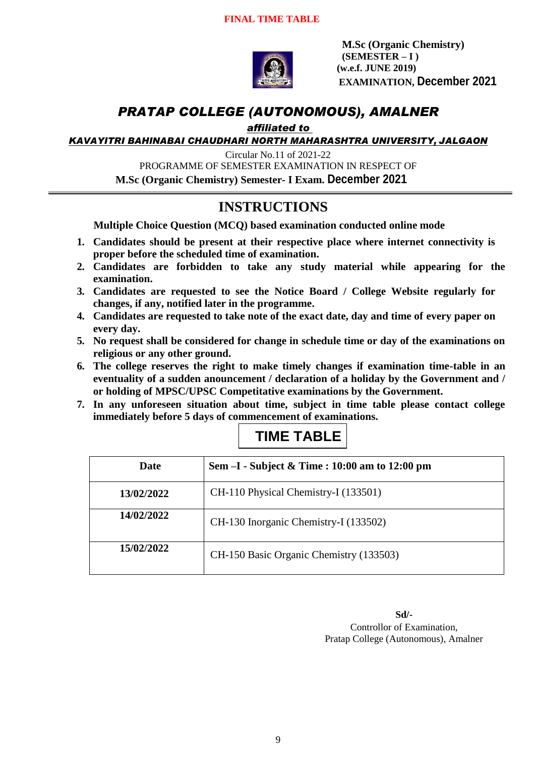

**M.Sc (Organic Chemistry) (SEMESTER – I ) (w.e.f. JUNE 2019) EXAMINATION, December 2021**

### *PRATAP COLLEGE (AUTONOMOUS), AMALNER*

*affiliated to* 

*KAVAYITRI BAHINABAI CHAUDHARI NORTH MAHARASHTRA UNIVERSITY, JALGAON*

Circular No.11 of 2021-22

PROGRAMME OF SEMESTER EXAMINATION IN RESPECT OF

**M.Sc (Organic Chemistry) Semester- I Exam. December 2021**

## **INSTRUCTIONS**

**Multiple Choice Question (MCQ) based examination conducted online mode**

- **1. Candidates should be present at their respective place where internet connectivity is proper before the scheduled time of examination.**
- **2. Candidates are forbidden to take any study material while appearing for the examination.**
- **3. Candidates are requested to see the Notice Board / College Website regularly for changes, if any, notified later in the programme.**
- **4. Candidates are requested to take note of the exact date, day and time of every paper on every day.**
- **5. No request shall be considered for change in schedule time or day of the examinations on religious or any other ground.**
- **6. The college reserves the right to make timely changes if examination time-table in an eventuality of a sudden anouncement / declaration of a holiday by the Government and / or holding of MPSC/UPSC Competitative examinations by the Government.**
- **7. In any unforeseen situation about time, subject in time table please contact college immediately before 5 days of commencement of examinations.**

| Date       | Sem $-I$ - Subject & Time : 10:00 am to 12:00 pm |
|------------|--------------------------------------------------|
| 13/02/2022 | CH-110 Physical Chemistry-I (133501)             |
| 14/02/2022 | CH-130 Inorganic Chemistry-I (133502)            |
| 15/02/2022 | CH-150 Basic Organic Chemistry (133503)          |

### **TIME TABLE**